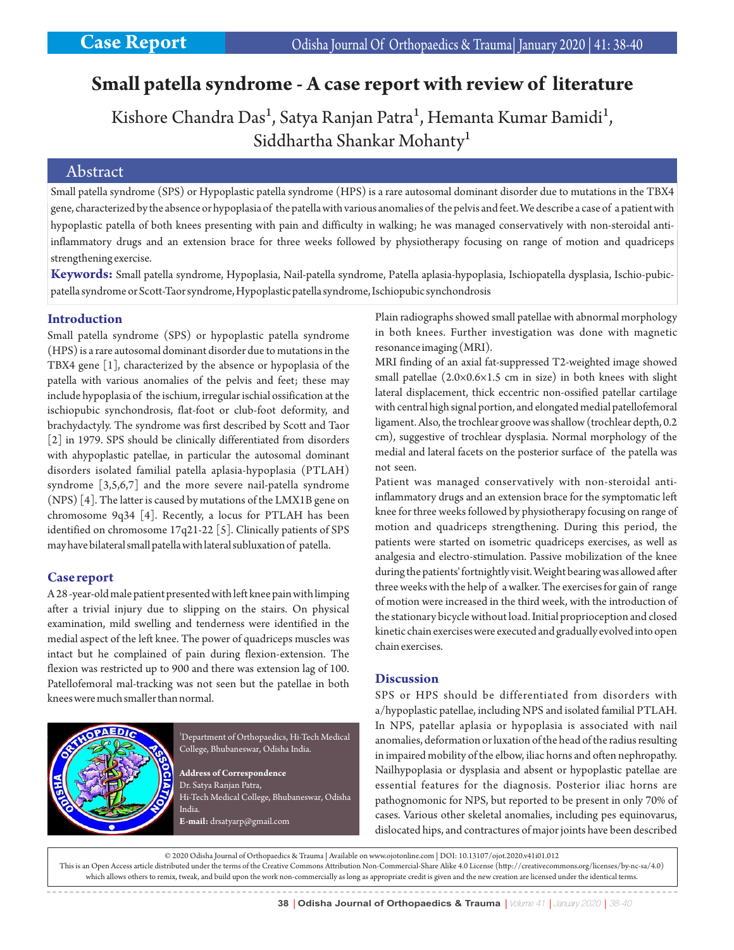# **Small patella syndrome - A case report with review of literature**

Kishore Chandra Das<sup>1</sup>, Satya Ranjan Patra<sup>1</sup>, Hemanta Kumar Bamidi<sup>1</sup>, Siddhartha Shankar Mohanty<sup>1</sup>

### Abstract

Small patella syndrome (SPS) or Hypoplastic patella syndrome (HPS) is a rare autosomal dominant disorder due to mutations in the TBX4 gene, characterized by the absence or hypoplasia of the patella with various anomalies of the pelvis and feet. We describe a case of a patient with hypoplastic patella of both knees presenting with pain and difficulty in walking; he was managed conservatively with non-steroidal antiinflammatory drugs and an extension brace for three weeks followed by physiotherapy focusing on range of motion and quadriceps strengthening exercise.

**Keywords:** Small patella syndrome, Hypoplasia, Nail-patella syndrome, Patella aplasia-hypoplasia, Ischiopatella dysplasia, Ischio-pubicpatella syndrome or Scott-Taor syndrome, Hypoplastic patella syndrome, Ischiopubic synchondrosis

#### **Introduction**

Small patella syndrome (SPS) or hypoplastic patella syndrome (HPS) is a rare autosomal dominant disorder due to mutations in the TBX4 gene [1], characterized by the absence or hypoplasia of the patella with various anomalies of the pelvis and feet; these may include hypoplasia of the ischium, irregular ischial ossification at the ischiopubic synchondrosis, flat-foot or club-foot deformity, and brachydactyly. The syndrome was first described by Scott and Taor [2] in 1979. SPS should be clinically differentiated from disorders with ahypoplastic patellae, in particular the autosomal dominant disorders isolated familial patella aplasia-hypoplasia (PTLAH) syndrome [3,5,6,7] and the more severe nail-patella syndrome (NPS) [4]. The latter is caused by mutations of the LMX1B gene on chromosome 9q34 [4]. Recently, a locus for PTLAH has been identified on chromosome 17q21-22 [5]. Clinically patients of SPS may have bilateral small patella with lateral subluxation of patella.

#### **Case report**

A 28 -year-old male patient presented with left knee pain with limping after a trivial injury due to slipping on the stairs. On physical examination, mild swelling and tenderness were identified in the medial aspect of the left knee. The power of quadriceps muscles was intact but he complained of pain during flexion-extension. The flexion was restricted up to 900 and there was extension lag of 100. Patellofemoral mal-tracking was not seen but the patellae in both knees were much smaller than normal.



 $^{\text{1}}$ Department of Orthopaedics, Hi-Tech Medical College, Bhubaneswar, Odisha India.

**Address of Correspondence** Dr. Satya Ranjan Patra, Hi-Tech Medical College, Bhubaneswar, Odisha India. **E-mail:** drsatyarp@gmail.com

Plain radiographs showed small patellae with abnormal morphology in both knees. Further investigation was done with magnetic resonance imaging (MRI).

MRI finding of an axial fat-suppressed T2-weighted image showed small patellae (2.0×0.6×1.5 cm in size) in both knees with slight lateral displacement, thick eccentric non-ossified patellar cartilage with central high signal portion, and elongated medial patellofemoral ligament. Also, the trochlear groove was shallow (trochlear depth, 0.2 cm), suggestive of trochlear dysplasia. Normal morphology of the medial and lateral facets on the posterior surface of the patella was not seen.

Patient was managed conservatively with non-steroidal antiinflammatory drugs and an extension brace for the symptomatic left knee for three weeks followed by physiotherapy focusing on range of motion and quadriceps strengthening. During this period, the patients were started on isometric quadriceps exercises, as well as analgesia and electro-stimulation. Passive mobilization of the knee during the patients' fortnightly visit. Weight bearing was allowed after three weeks with the help of a walker. The exercises for gain of range of motion were increased in the third week, with the introduction of the stationary bicycle without load. Initial proprioception and closed kinetic chain exercises were executed and gradually evolved into open chain exercises.

#### **Discussion**

SPS or HPS should be differentiated from disorders with a/hypoplastic patellae, including NPS and isolated familial PTLAH. In NPS, patellar aplasia or hypoplasia is associated with nail anomalies, deformation or luxation of the head of the radius resulting in impaired mobility of the elbow, iliac horns and often nephropathy. Nailhypoplasia or dysplasia and absent or hypoplastic patellae are essential features for the diagnosis. Posterior iliac horns are pathognomonic for NPS, but reported to be present in only 70% of cases. Various other skeletal anomalies, including pes equinovarus, dislocated hips, and contractures of major joints have been described

© 2020 Odisha Journal of Orthopaedics & Trauma | Available on www.ojotonline.com | DOI: 10.13107/ojot.2020.v41i01.012 This is an Open Access article distributed under the terms of the Creative Commons Attribution Non-Commercial-Share Alike 4.0 License (http://creativecommons.org/licenses/by-nc-sa/4.0) which allows others to remix, tweak, and build upon the work non-commercially as long as appropriate credit is given and the new creation are licensed under the identical terms.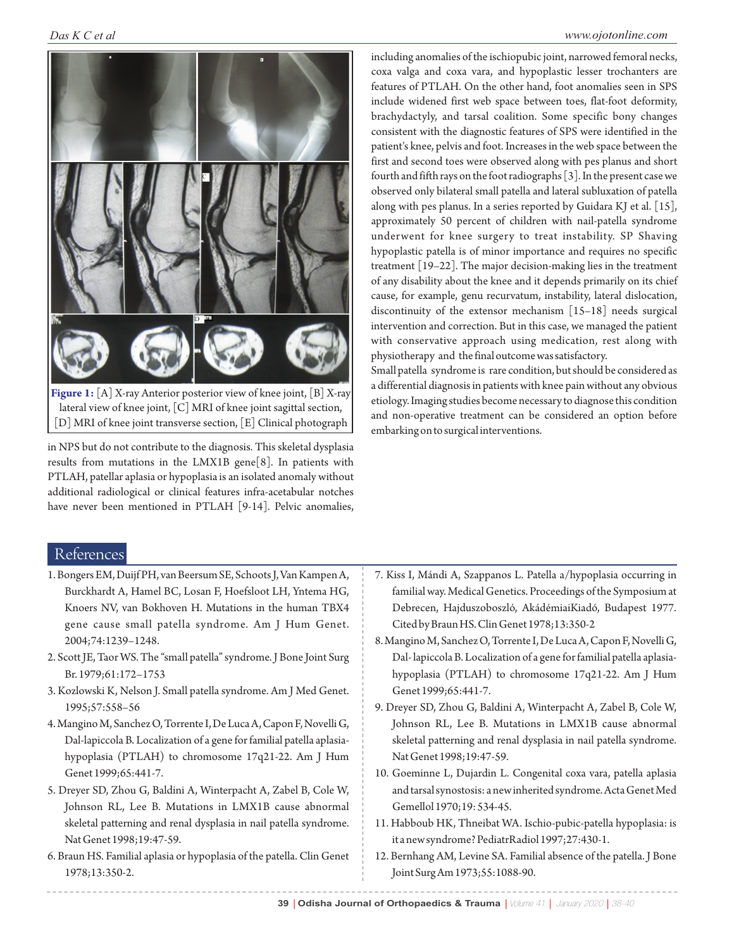

in NPS but do not contribute to the diagnosis. This skeletal dysplasia results from mutations in the LMX1B gene[8]. In patients with PTLAH, patellar aplasia or hypoplasia is an isolated anomaly without additional radiological or clinical features infra-acetabular notches have never been mentioned in PTLAH [9-14]. Pelvic anomalies,

including anomalies of the ischiopubic joint, narrowed femoral necks, coxa valga and coxa vara, and hypoplastic lesser trochanters are features of PTLAH. On the other hand, foot anomalies seen in SPS include widened first web space between toes, flat-foot deformity, brachydactyly, and tarsal coalition. Some specific bony changes consistent with the diagnostic features of SPS were identified in the patient's knee, pelvis and foot. Increases in the web space between the first and second toes were observed along with pes planus and short fourth and fifth rays on the foot radiographs [3]. In the present case we observed only bilateral small patella and lateral subluxation of patella along with pes planus. In a series reported by Guidara KJ et al. [15], approximately 50 percent of children with nail-patella syndrome underwent for knee surgery to treat instability. SP Shaving hypoplastic patella is of minor importance and requires no specific treatment [19–22]. The major decision-making lies in the treatment of any disability about the knee and it depends primarily on its chief cause, for example, genu recurvatum, instability, lateral dislocation, discontinuity of the extensor mechanism [15–18] needs surgical intervention and correction. But in this case, we managed the patient with conservative approach using medication, rest along with physiotherapy and the final outcome was satisfactory.

Small patella syndrome is rare condition, but should be considered as a differential diagnosis in patients with knee pain without any obvious etiology. Imaging studies become necessary to diagnose this condition and non-operative treatment can be considered an option before embarking on to surgical interventions.

## References

- 1. Bongers EM, Duijf PH, van Beersum SE, Schoots J, Van Kampen A, Burckhardt A, Hamel BC, Losan F, Hoefsloot LH, Yntema HG, Knoers NV, van Bokhoven H. Mutations in the human TBX4 gene cause small patella syndrome. Am J Hum Genet. 2004;74:1239–1248.
- 2. Scott JE, Taor WS. The "small patella" syndrome. J Bone Joint Surg Br. 1979;61:172–1753
- 3. Kozlowski K, Nelson J. Small patella syndrome. Am J Med Genet. 1995;57:558–56
- 4. Mangino M, Sanchez O, Torrente I, De Luca A, Capon F, Novelli G, Dal-lapiccola B. Localization of a gene for familial patella aplasiahypoplasia (PTLAH) to chromosome 17q21-22. Am J Hum Genet 1999;65:441-7.
- 5. Dreyer SD, Zhou G, Baldini A, Winterpacht A, Zabel B, Cole W, Johnson RL, Lee B. Mutations in LMX1B cause abnormal skeletal patterning and renal dysplasia in nail patella syndrome. Nat Genet 1998;19:47-59.
- 6. Braun HS. Familial aplasia or hypoplasia of the patella. Clin Genet 1978;13:350-2.
- 7. Kiss I, Mándi A, Szappanos L. Patella a/hypoplasia occurring in familial way. Medical Genetics. Proceedings of the Symposium at Debrecen, Hajduszoboszló, AkádémiaiKiadó, Budapest 1977. Cited by Braun HS. Clin Genet 1978;13:350-2
- 8. Mangino M, Sanchez O, Torrente I, De Luca A, Capon F, Novelli G, Dal- lapiccola B. Localization of a gene for familial patella aplasiahypoplasia (PTLAH) to chromosome 17q21-22. Am J Hum Genet 1999;65:441-7.
- 9. Dreyer SD, Zhou G, Baldini A, Winterpacht A, Zabel B, Cole W, Johnson RL, Lee B. Mutations in LMX1B cause abnormal skeletal patterning and renal dysplasia in nail patella syndrome. Nat Genet 1998;19:47-59.
- 10. Goeminne L, Dujardin L. Congenital coxa vara, patella aplasia and tarsal synostosis: a new inherited syndrome. Acta Genet Med Gemellol 1970;19: 534-45.
- 11. Habboub HK, Thneibat WA. Ischio-pubic-patella hypoplasia: is it a new syndrome? PediatrRadiol 1997;27:430-1.
- 12. Bernhang AM, Levine SA. Familial absence of the patella. J Bone Joint Surg Am 1973;55:1088-90.